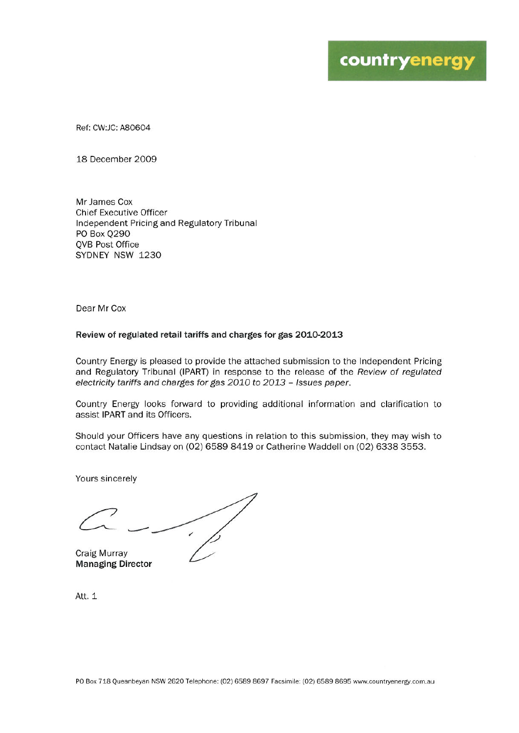Ref: CW:JC: A80604

18 December 2009

Mr James Cox **Chief Executive Officer** Independent Pricing and Regulatory Tribunal PO Box Q290 **OVB Post Office** SYDNEY NSW 1230

Dear Mr Cox

#### Review of regulated retail tariffs and charges for gas 2010-2013

Country Energy is pleased to provide the attached submission to the Independent Pricing and Regulatory Tribunal (IPART) in response to the release of the Review of regulated electricity tariffs and charges for gas 2010 to 2013 - Issues paper.

Country Energy looks forward to providing additional information and clarification to assist IPART and its Officers.

Should your Officers have any questions in relation to this submission, they may wish to contact Natalie Lindsay on (02) 6589 8419 or Catherine Waddell on (02) 6338 3553.

Yours sincerely

Craig Murray

**Managing Director** 

Att. 1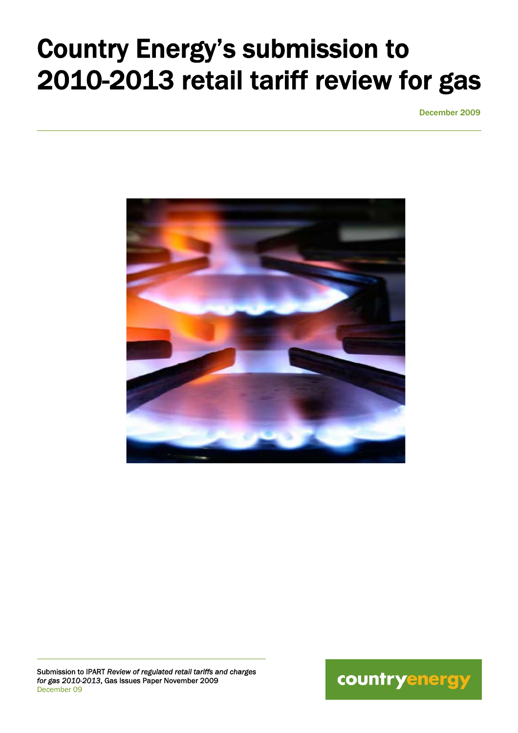# Country Energy's submission to 2010-2013 retail tariff review for gas

December 2009



Submission to IPART *Review of regulated retail tariffs and charges for gas 2010-2013*, Gas Issues Paper November 2009 December 09

 $\overline{a}$ 

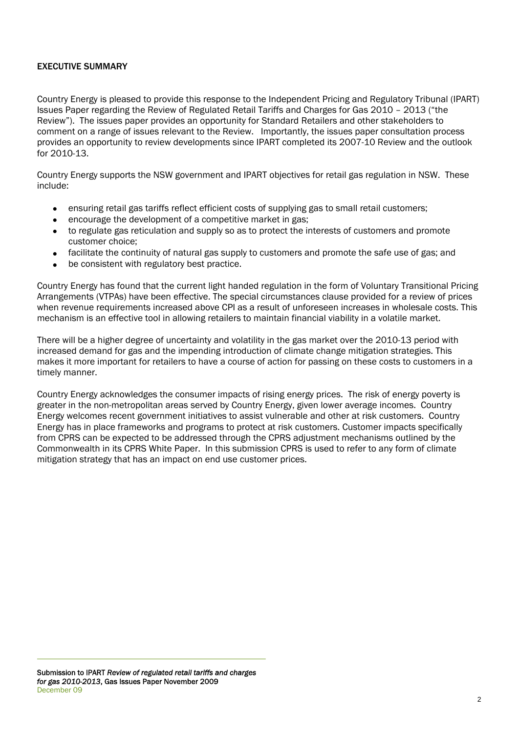## EXECUTIVE SUMMARY

Country Energy is pleased to provide this response to the Independent Pricing and Regulatory Tribunal (IPART) Issues Paper regarding the Review of Regulated Retail Tariffs and Charges for Gas 2010 – 2013 ("the Review"). The issues paper provides an opportunity for Standard Retailers and other stakeholders to comment on a range of issues relevant to the Review. Importantly, the issues paper consultation process provides an opportunity to review developments since IPART completed its 2007-10 Review and the outlook for 2010-13.

Country Energy supports the NSW government and IPART objectives for retail gas regulation in NSW. These include:

- ensuring retail gas tariffs reflect efficient costs of supplying gas to small retail customers;
- encourage the development of a competitive market in gas;
- to regulate gas reticulation and supply so as to protect the interests of customers and promote customer choice;
- facilitate the continuity of natural gas supply to customers and promote the safe use of gas; and
- be consistent with regulatory best practice.

Country Energy has found that the current light handed regulation in the form of Voluntary Transitional Pricing Arrangements (VTPAs) have been effective. The special circumstances clause provided for a review of prices when revenue requirements increased above CPI as a result of unforeseen increases in wholesale costs. This mechanism is an effective tool in allowing retailers to maintain financial viability in a volatile market.

There will be a higher degree of uncertainty and volatility in the gas market over the 2010-13 period with increased demand for gas and the impending introduction of climate change mitigation strategies. This makes it more important for retailers to have a course of action for passing on these costs to customers in a timely manner.

Country Energy acknowledges the consumer impacts of rising energy prices. The risk of energy poverty is greater in the non-metropolitan areas served by Country Energy, given lower average incomes. Country Energy welcomes recent government initiatives to assist vulnerable and other at risk customers. Country Energy has in place frameworks and programs to protect at risk customers. Customer impacts specifically from CPRS can be expected to be addressed through the CPRS adjustment mechanisms outlined by the Commonwealth in its CPRS White Paper. In this submission CPRS is used to refer to any form of climate mitigation strategy that has an impact on end use customer prices.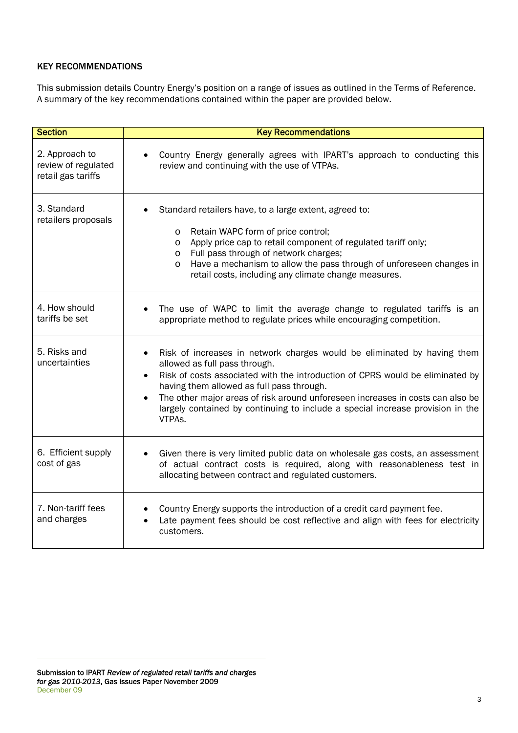# KEY RECOMMENDATIONS

This submission details Country Energy's position on a range of issues as outlined in the Terms of Reference. A summary of the key recommendations contained within the paper are provided below.

| <b>Section</b>                                              | <b>Key Recommendations</b>                                                                                                                                                                                                                                                                                                                                                                                                        |
|-------------------------------------------------------------|-----------------------------------------------------------------------------------------------------------------------------------------------------------------------------------------------------------------------------------------------------------------------------------------------------------------------------------------------------------------------------------------------------------------------------------|
| 2. Approach to<br>review of regulated<br>retail gas tariffs | Country Energy generally agrees with IPART's approach to conducting this<br>review and continuing with the use of VTPAs.                                                                                                                                                                                                                                                                                                          |
| 3. Standard<br>retailers proposals                          | Standard retailers have, to a large extent, agreed to:<br>Retain WAPC form of price control;<br>$\circ$<br>Apply price cap to retail component of regulated tariff only;<br>$\circ$<br>Full pass through of network charges;<br>$\circ$<br>Have a mechanism to allow the pass through of unforeseen changes in<br>O<br>retail costs, including any climate change measures.                                                       |
| 4. How should<br>tariffs be set                             | The use of WAPC to limit the average change to regulated tariffs is an<br>appropriate method to regulate prices while encouraging competition.                                                                                                                                                                                                                                                                                    |
| 5. Risks and<br>uncertainties                               | Risk of increases in network charges would be eliminated by having them<br>allowed as full pass through.<br>Risk of costs associated with the introduction of CPRS would be eliminated by<br>having them allowed as full pass through.<br>The other major areas of risk around unforeseen increases in costs can also be<br>$\bullet$<br>largely contained by continuing to include a special increase provision in the<br>VTPAs. |
| 6. Efficient supply<br>cost of gas                          | Given there is very limited public data on wholesale gas costs, an assessment<br>٠<br>of actual contract costs is required, along with reasonableness test in<br>allocating between contract and regulated customers.                                                                                                                                                                                                             |
| 7. Non-tariff fees<br>and charges                           | Country Energy supports the introduction of a credit card payment fee.<br>Late payment fees should be cost reflective and align with fees for electricity<br>customers.                                                                                                                                                                                                                                                           |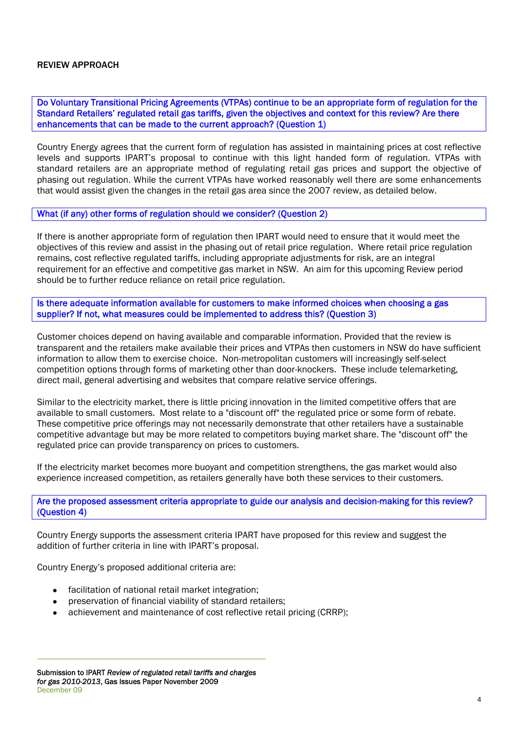#### REVIEW APPROACH

Do Voluntary Transitional Pricing Agreements (VTPAs) continue to be an appropriate form of regulation for the Standard Retailers' regulated retail gas tariffs, given the objectives and context for this review? Are there enhancements that can be made to the current approach? (Question 1)

Country Energy agrees that the current form of regulation has assisted in maintaining prices at cost reflective levels and supports IPART's proposal to continue with this light handed form of regulation. VTPAs with standard retailers are an appropriate method of regulating retail gas prices and support the objective of phasing out regulation. While the current VTPAs have worked reasonably well there are some enhancements that would assist given the changes in the retail gas area since the 2007 review, as detailed below.

#### What (if any) other forms of regulation should we consider? (Question 2)

If there is another appropriate form of regulation then IPART would need to ensure that it would meet the objectives of this review and assist in the phasing out of retail price regulation. Where retail price regulation remains, cost reflective regulated tariffs, including appropriate adjustments for risk, are an integral requirement for an effective and competitive gas market in NSW. An aim for this upcoming Review period should be to further reduce reliance on retail price regulation.

Is there adequate information available for customers to make informed choices when choosing a gas supplier? If not, what measures could be implemented to address this? (Question 3)

Customer choices depend on having available and comparable information. Provided that the review is transparent and the retailers make available their prices and VTPAs then customers in NSW do have sufficient information to allow them to exercise choice. Non-metropolitan customers will increasingly self-select competition options through forms of marketing other than door-knockers. These include telemarketing, direct mail, general advertising and websites that compare relative service offerings.

Similar to the electricity market, there is little pricing innovation in the limited competitive offers that are available to small customers. Most relate to a "discount off" the regulated price or some form of rebate. These competitive price offerings may not necessarily demonstrate that other retailers have a sustainable competitive advantage but may be more related to competitors buying market share. The "discount off" the regulated price can provide transparency on prices to customers.

If the electricity market becomes more buoyant and competition strengthens, the gas market would also experience increased competition, as retailers generally have both these services to their customers.

#### Are the proposed assessment criteria appropriate to guide our analysis and decision-making for this review? (Question 4)

Country Energy supports the assessment criteria IPART have proposed for this review and suggest the addition of further criteria in line with IPART's proposal.

Country Energy's proposed additional criteria are:

- facilitation of national retail market integration;
- preservation of financial viability of standard retailers;
- achievement and maintenance of cost reflective retail pricing (CRRP);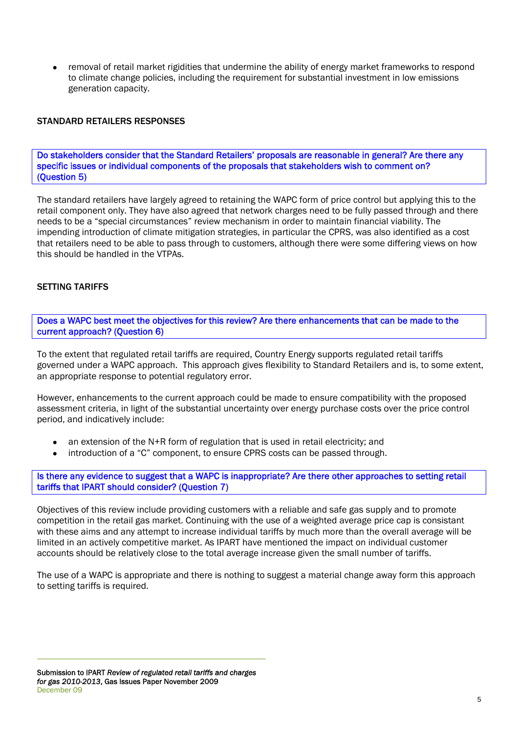• removal of retail market rigidities that undermine the ability of energy market frameworks to respond to climate change policies, including the requirement for substantial investment in low emissions generation capacity.

## STANDARD RETAIL FRS RESPONSES

Do stakeholders consider that the Standard Retailers' proposals are reasonable in general? Are there any specific issues or individual components of the proposals that stakeholders wish to comment on? (Question 5)

The standard retailers have largely agreed to retaining the WAPC form of price control but applying this to the retail component only. They have also agreed that network charges need to be fully passed through and there needs to be a "special circumstances" review mechanism in order to maintain financial viability. The impending introduction of climate mitigation strategies, in particular the CPRS, was also identified as a cost that retailers need to be able to pass through to customers, although there were some differing views on how this should be handled in the VTPAs.

## SETTING TARIFFS

Does a WAPC best meet the objectives for this review? Are there enhancements that can be made to the current approach? (Question 6)

To the extent that regulated retail tariffs are required, Country Energy supports regulated retail tariffs governed under a WAPC approach. This approach gives flexibility to Standard Retailers and is, to some extent, an appropriate response to potential regulatory error.

However, enhancements to the current approach could be made to ensure compatibility with the proposed assessment criteria, in light of the substantial uncertainty over energy purchase costs over the price control period, and indicatively include:

- an extension of the  $N+R$  form of regulation that is used in retail electricity; and
- introduction of a "C" component, to ensure CPRS costs can be passed through.

Is there any evidence to suggest that a WAPC is inappropriate? Are there other approaches to setting retail tariffs that IPART should consider? (Question 7)

Objectives of this review include providing customers with a reliable and safe gas supply and to promote competition in the retail gas market. Continuing with the use of a weighted average price cap is consistant with these aims and any attempt to increase individual tariffs by much more than the overall average will be limited in an actively competitive market. As IPART have mentioned the impact on individual customer accounts should be relatively close to the total average increase given the small number of tariffs.

The use of a WAPC is appropriate and there is nothing to suggest a material change away form this approach to setting tariffs is required.

Submission to IPART *Review of regulated retail tariffs and charges for gas 2010-2013*, Gas Issues Paper November 2009 December 09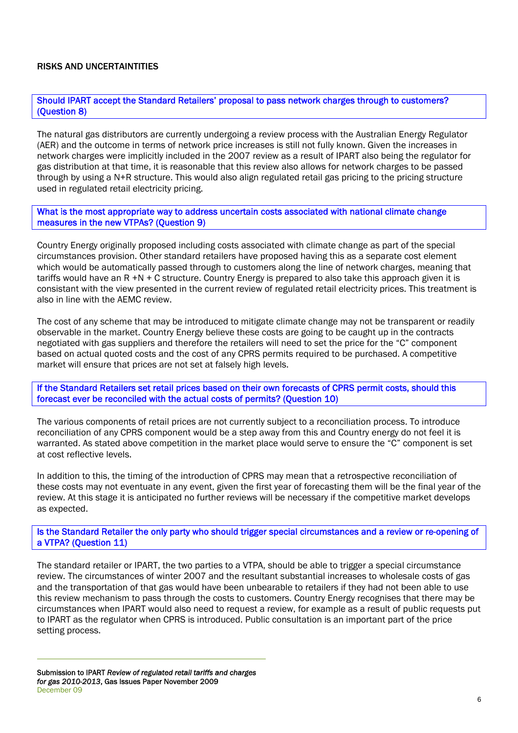## RISKS AND UNCERTAINTITIES

Should IPART accept the Standard Retailers' proposal to pass network charges through to customers? (Question 8)

The natural gas distributors are currently undergoing a review process with the Australian Energy Regulator (AER) and the outcome in terms of network price increases is still not fully known. Given the increases in network charges were implicitly included in the 2007 review as a result of IPART also being the regulator for gas distribution at that time, it is reasonable that this review also allows for network charges to be passed through by using a N+R structure. This would also align regulated retail gas pricing to the pricing structure used in regulated retail electricity pricing.

What is the most appropriate way to address uncertain costs associated with national climate change measures in the new VTPAs? (Question 9)

Country Energy originally proposed including costs associated with climate change as part of the special circumstances provision. Other standard retailers have proposed having this as a separate cost element which would be automatically passed through to customers along the line of network charges, meaning that tariffs would have an R +N + C structure. Country Energy is prepared to also take this approach given it is consistant with the view presented in the current review of regulated retail electricity prices. This treatment is also in line with the AEMC review.

The cost of any scheme that may be introduced to mitigate climate change may not be transparent or readily observable in the market. Country Energy believe these costs are going to be caught up in the contracts negotiated with gas suppliers and therefore the retailers will need to set the price for the "C" component based on actual quoted costs and the cost of any CPRS permits required to be purchased. A competitive market will ensure that prices are not set at falsely high levels.

If the Standard Retailers set retail prices based on their own forecasts of CPRS permit costs, should this forecast ever be reconciled with the actual costs of permits? (Question 10)

The various components of retail prices are not currently subject to a reconciliation process. To introduce reconciliation of any CPRS component would be a step away from this and Country energy do not feel it is warranted. As stated above competition in the market place would serve to ensure the "C" component is set at cost reflective levels.

In addition to this, the timing of the introduction of CPRS may mean that a retrospective reconciliation of these costs may not eventuate in any event, given the first year of forecasting them will be the final year of the review. At this stage it is anticipated no further reviews will be necessary if the competitive market develops as expected.

Is the Standard Retailer the only party who should trigger special circumstances and a review or re-opening of a VTPA? (Question 11)

The standard retailer or IPART, the two parties to a VTPA, should be able to trigger a special circumstance review. The circumstances of winter 2007 and the resultant substantial increases to wholesale costs of gas and the transportation of that gas would have been unbearable to retailers if they had not been able to use this review mechanism to pass through the costs to customers. Country Energy recognises that there may be circumstances when IPART would also need to request a review, for example as a result of public requests put to IPART as the regulator when CPRS is introduced. Public consultation is an important part of the price setting process.

Submission to IPART *Review of regulated retail tariffs and charges for gas 2010-2013*, Gas Issues Paper November 2009 December 09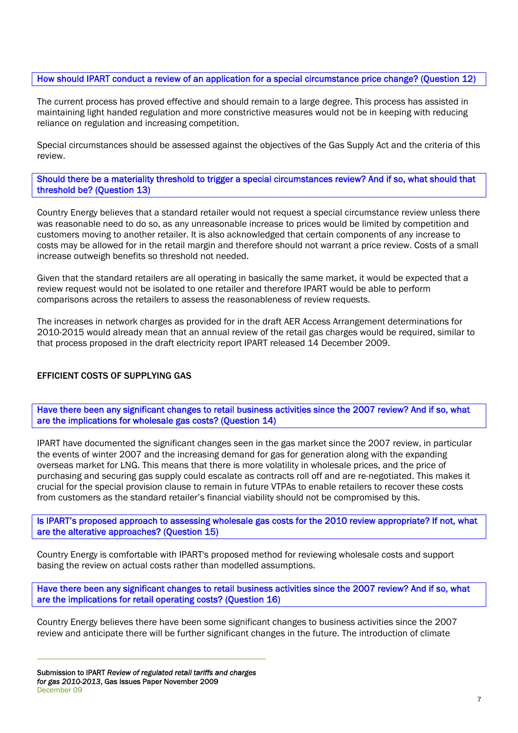How should IPART conduct a review of an application for a special circumstance price change? (Question 12)

The current process has proved effective and should remain to a large degree. This process has assisted in maintaining light handed regulation and more constrictive measures would not be in keeping with reducing reliance on regulation and increasing competition.

Special circumstances should be assessed against the objectives of the Gas Supply Act and the criteria of this review.

Should there be a materiality threshold to trigger a special circumstances review? And if so, what should that threshold be? (Question 13)

Country Energy believes that a standard retailer would not request a special circumstance review unless there was reasonable need to do so, as any unreasonable increase to prices would be limited by competition and customers moving to another retailer. It is also acknowledged that certain components of any increase to costs may be allowed for in the retail margin and therefore should not warrant a price review. Costs of a small increase outweigh benefits so threshold not needed.

Given that the standard retailers are all operating in basically the same market, it would be expected that a review request would not be isolated to one retailer and therefore IPART would be able to perform comparisons across the retailers to assess the reasonableness of review requests.

The increases in network charges as provided for in the draft AER Access Arrangement determinations for 2010-2015 would already mean that an annual review of the retail gas charges would be required, similar to that process proposed in the draft electricity report IPART released 14 December 2009.

# EFFICIENT COSTS OF SUPPLYING GAS

Have there been any significant changes to retail business activities since the 2007 review? And if so, what are the implications for wholesale gas costs? (Question 14)

IPART have documented the significant changes seen in the gas market since the 2007 review, in particular the events of winter 2007 and the increasing demand for gas for generation along with the expanding overseas market for LNG. This means that there is more volatility in wholesale prices, and the price of purchasing and securing gas supply could escalate as contracts roll off and are re-negotiated. This makes it crucial for the special provision clause to remain in future VTPAs to enable retailers to recover these costs from customers as the standard retailer's financial viability should not be compromised by this.

Is IPART's proposed approach to assessing wholesale gas costs for the 2010 review appropriate? If not, what are the alterative approaches? (Question 15)

Country Energy is comfortable with IPART's proposed method for reviewing wholesale costs and support basing the review on actual costs rather than modelled assumptions.

Have there been any significant changes to retail business activities since the 2007 review? And if so, what are the implications for retail operating costs? (Question 16)

Country Energy believes there have been some significant changes to business activities since the 2007 review and anticipate there will be further significant changes in the future. The introduction of climate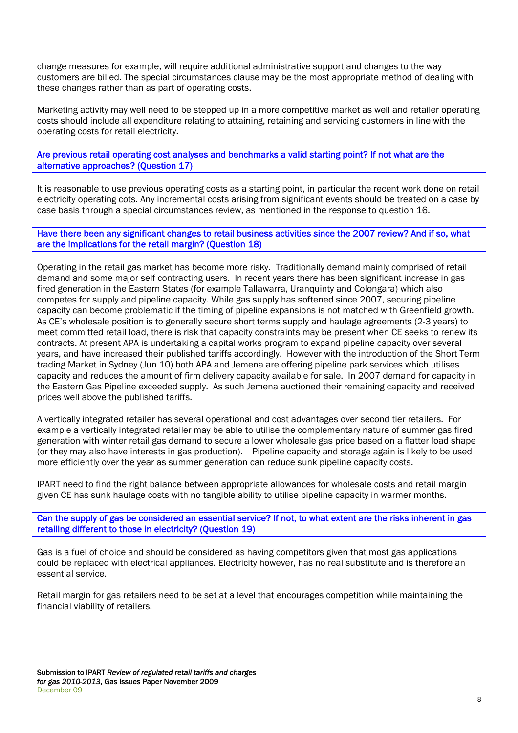change measures for example, will require additional administrative support and changes to the way customers are billed. The special circumstances clause may be the most appropriate method of dealing with these changes rather than as part of operating costs.

Marketing activity may well need to be stepped up in a more competitive market as well and retailer operating costs should include all expenditure relating to attaining, retaining and servicing customers in line with the operating costs for retail electricity.

Are previous retail operating cost analyses and benchmarks a valid starting point? If not what are the alternative approaches? (Question 17)

It is reasonable to use previous operating costs as a starting point, in particular the recent work done on retail electricity operating cots. Any incremental costs arising from significant events should be treated on a case by case basis through a special circumstances review, as mentioned in the response to question 16.

Have there been any significant changes to retail business activities since the 2007 review? And if so, what are the implications for the retail margin? (Question 18)

Operating in the retail gas market has become more risky. Traditionally demand mainly comprised of retail demand and some major self contracting users. In recent years there has been significant increase in gas fired generation in the Eastern States (for example Tallawarra, Uranquinty and Colongara) which also competes for supply and pipeline capacity. While gas supply has softened since 2007, securing pipeline capacity can become problematic if the timing of pipeline expansions is not matched with Greenfield growth. As CE's wholesale position is to generally secure short terms supply and haulage agreements (2-3 years) to meet committed retail load, there is risk that capacity constraints may be present when CE seeks to renew its contracts. At present APA is undertaking a capital works program to expand pipeline capacity over several years, and have increased their published tariffs accordingly. However with the introduction of the Short Term trading Market in Sydney (Jun 10) both APA and Jemena are offering pipeline park services which utilises capacity and reduces the amount of firm delivery capacity available for sale. In 2007 demand for capacity in the Eastern Gas Pipeline exceeded supply. As such Jemena auctioned their remaining capacity and received prices well above the published tariffs.

A vertically integrated retailer has several operational and cost advantages over second tier retailers. For example a vertically integrated retailer may be able to utilise the complementary nature of summer gas fired generation with winter retail gas demand to secure a lower wholesale gas price based on a flatter load shape (or they may also have interests in gas production). Pipeline capacity and storage again is likely to be used more efficiently over the year as summer generation can reduce sunk pipeline capacity costs.

IPART need to find the right balance between appropriate allowances for wholesale costs and retail margin given CE has sunk haulage costs with no tangible ability to utilise pipeline capacity in warmer months.

Can the supply of gas be considered an essential service? If not, to what extent are the risks inherent in gas retailing different to those in electricity? (Ouestion 19)

Gas is a fuel of choice and should be considered as having competitors given that most gas applications could be replaced with electrical appliances. Electricity however, has no real substitute and is therefore an essential service.

Retail margin for gas retailers need to be set at a level that encourages competition while maintaining the financial viability of retailers.

Submission to IPART *Review of regulated retail tariffs and charges for gas 2010-2013*, Gas Issues Paper November 2009 December 09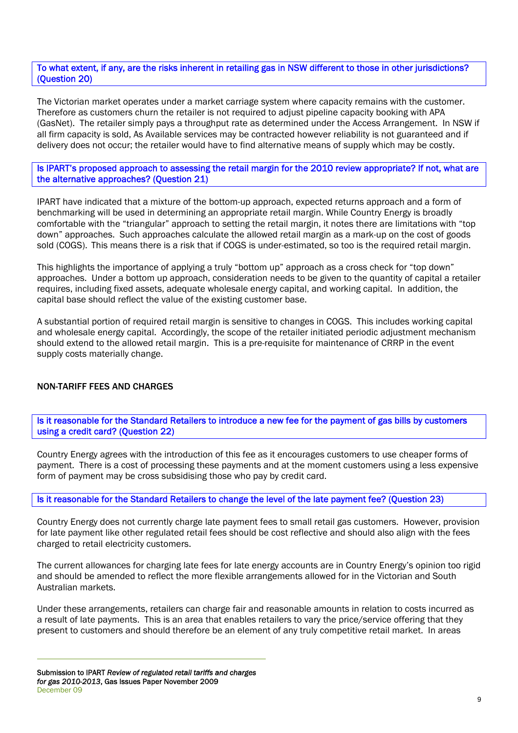#### To what extent, if any, are the risks inherent in retailing gas in NSW different to those in other jurisdictions? (Question 20)

The Victorian market operates under a market carriage system where capacity remains with the customer. Therefore as customers churn the retailer is not required to adjust pipeline capacity booking with APA (GasNet). The retailer simply pays a throughput rate as determined under the Access Arrangement. In NSW if all firm capacity is sold, As Available services may be contracted however reliability is not guaranteed and if delivery does not occur; the retailer would have to find alternative means of supply which may be costly.

## Is IPART's proposed approach to assessing the retail margin for the 2010 review appropriate? If not, what are the alternative approaches? (Question 21)

IPART have indicated that a mixture of the bottom-up approach, expected returns approach and a form of benchmarking will be used in determining an appropriate retail margin. While Country Energy is broadly comfortable with the "triangular" approach to setting the retail margin, it notes there are limitations with "top down" approaches. Such approaches calculate the allowed retail margin as a mark-up on the cost of goods sold (COGS). This means there is a risk that if COGS is under-estimated, so too is the required retail margin.

This highlights the importance of applying a truly "bottom up" approach as a cross check for "top down" approaches. Under a bottom up approach, consideration needs to be given to the quantity of capital a retailer requires, including fixed assets, adequate wholesale energy capital, and working capital. In addition, the capital base should reflect the value of the existing customer base.

A substantial portion of required retail margin is sensitive to changes in COGS. This includes working capital and wholesale energy capital. Accordingly, the scope of the retailer initiated periodic adjustment mechanism should extend to the allowed retail margin. This is a pre-requisite for maintenance of CRRP in the event supply costs materially change.

# NON-TARIFF FEES AND CHARGES

Is it reasonable for the Standard Retailers to introduce a new fee for the payment of gas bills by customers using a credit card? (Question 22)

Country Energy agrees with the introduction of this fee as it encourages customers to use cheaper forms of payment. There is a cost of processing these payments and at the moment customers using a less expensive form of payment may be cross subsidising those who pay by credit card.

# Is it reasonable for the Standard Retailers to change the level of the late payment fee? (Question 23)

Country Energy does not currently charge late payment fees to small retail gas customers. However, provision for late payment like other regulated retail fees should be cost reflective and should also align with the fees charged to retail electricity customers.

The current allowances for charging late fees for late energy accounts are in Country Energy's opinion too rigid and should be amended to reflect the more flexible arrangements allowed for in the Victorian and South Australian markets.

Under these arrangements, retailers can charge fair and reasonable amounts in relation to costs incurred as a result of late payments. This is an area that enables retailers to vary the price/service offering that they present to customers and should therefore be an element of any truly competitive retail market. In areas

Submission to IPART *Review of regulated retail tariffs and charges for gas 2010-2013*, Gas Issues Paper November 2009 December 09